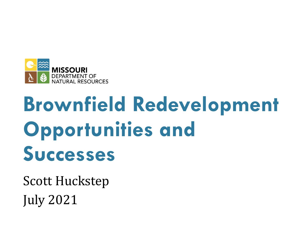

# **Brownfield Redevelopment Opportunities and Successes**

**Scott Huckstep** July 2021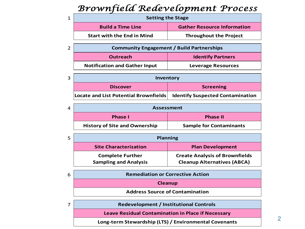#### *Brownfield Redevelopment Process*

| <b>Setting the Stage</b>          |                                    |  |
|-----------------------------------|------------------------------------|--|
| <b>Build a Time Line</b>          | <b>Gather Resource Information</b> |  |
| <b>Start with the End in Mind</b> | <b>Throughout the Project</b>      |  |
|                                   |                                    |  |

| $\overline{2}$ | <b>Community Engagement / Build Partnerships</b> |                           |
|----------------|--------------------------------------------------|---------------------------|
|                | <b>Outreach</b>                                  | <b>Identify Partners</b>  |
|                | <b>Notification and Gather Input</b>             | <b>Leverage Resources</b> |

| 3 | Inventory                                                                |                  |  |
|---|--------------------------------------------------------------------------|------------------|--|
|   | <b>Discover</b>                                                          | <b>Screening</b> |  |
|   | Locate and List Potential Brownfields   Identify Suspected Contamination |                  |  |

| 4 | <b>Assessment</b>                    |                                |  |
|---|--------------------------------------|--------------------------------|--|
|   | <b>Phase I</b>                       | <b>Phase II</b>                |  |
|   | <b>History of Site and Ownership</b> | <b>Sample for Contaminants</b> |  |

| 5 | <b>Planning</b>              |                                       |  |
|---|------------------------------|---------------------------------------|--|
|   | <b>Site Characterization</b> | <b>Plan Development</b>               |  |
|   | <b>Complete Further</b>      | <b>Create Analysis of Brownfields</b> |  |
|   | <b>Sampling and Analysis</b> | <b>Cleanup Alternatives (ABCA)</b>    |  |

| 6 | <b>Remediation or Corrective Action</b> |
|---|-----------------------------------------|
|   | <b>Cleanup</b>                          |
|   | <b>Address Source of Contamination</b>  |
|   |                                         |

**Redevelopment / Institutional Controls** 

7

**Leave Residual Contamination in Place if Necessary**

**Long-term Stewardship (LTS) / Environmental Covenants**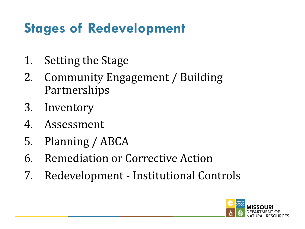### **Stages of Redevelopment**

- 1. Setting the Stage
- 2. Community Engagement / Building Partnerships
- 3. Inventory
- 4. Assessment
- 5. Planning / ABCA
- 6. Remediation or Corrective Action
- 7. Redevelopment Institutional Controls

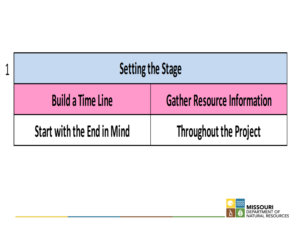| <b>Setting the Stage</b>   |                                    |
|----------------------------|------------------------------------|
| <b>Build a Time Line</b>   | <b>Gather Resource Information</b> |
| Start with the End in Mind | <b>Throughout the Project</b>      |

A

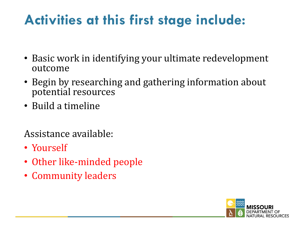#### **Activities at this first stage include:**

- Basic work in identifying your ultimate redevelopment outcome
- Begin by researching and gathering information about potential resources
- Build a timeline

- Yourself
- Other like-minded people
- Community leaders

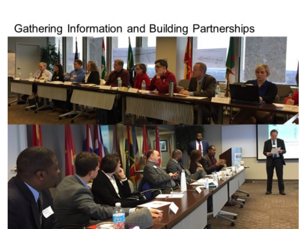#### Gathering Information and Building Partnerships

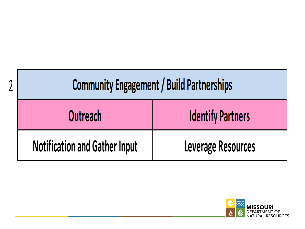| <b>Community Engagement / Build Partnerships</b> |                          |
|--------------------------------------------------|--------------------------|
| Outreach                                         | <b>Identify Partners</b> |
| <b>Notification and Gather Input</b>             | Leverage Resources       |

า

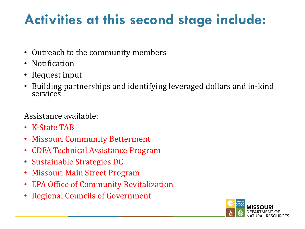### **Activities at this second stage include:**

- Outreach to the community members
- Notification
- Request input
- Building partnerships and identifying leveraged dollars and in-kind services

- K-State TAB
- Missouri Community Betterment
- CDFA Technical Assistance Program
- Sustainable Strategies DC
- Missouri Main Street Program
- EPA Office of Community Revitalization
- Regional Councils of Government

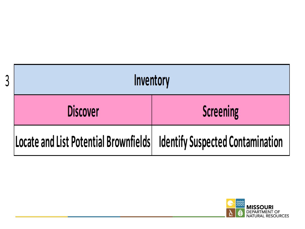| Inventory                                                                |                  |
|--------------------------------------------------------------------------|------------------|
| <b>Discover</b>                                                          | <b>Screening</b> |
| Locate and List Potential Brownfields   Identify Suspected Contamination |                  |

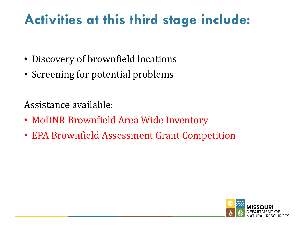#### **Activities at this third stage include:**

- Discovery of brownfield locations
- Screening for potential problems

- MoDNR Brownfield Area Wide Inventory
- EPA Brownfield Assessment Grant Competition

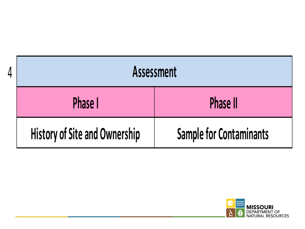| <b>Assessment</b>                    |                                |
|--------------------------------------|--------------------------------|
| Phase I                              | <b>Phase II</b>                |
| <b>History of Site and Ownership</b> | <b>Sample for Contaminants</b> |

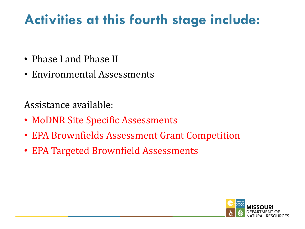### **Activities at this fourth stage include:**

- Phase I and Phase II
- Environmental Assessments

- MoDNR Site Specific Assessments
- EPA Brownfields Assessment Grant Competition
- EPA Targeted Brownfield Assessments

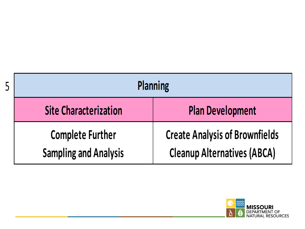| <b>Planning</b>                                         |                                                                             |
|---------------------------------------------------------|-----------------------------------------------------------------------------|
| <b>Site Characterization</b>                            | <b>Plan Development</b>                                                     |
| <b>Complete Further</b><br><b>Sampling and Analysis</b> | <b>Create Analysis of Brownfields</b><br><b>Cleanup Alternatives (ABCA)</b> |

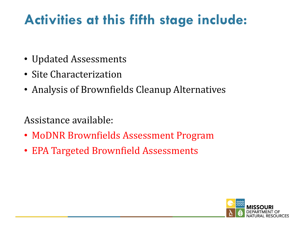#### **Activities at this fifth stage include:**

- Updated Assessments
- Site Characterization
- Analysis of Brownfields Cleanup Alternatives

- MoDNR Brownfields Assessment Program
- EPA Targeted Brownfield Assessments

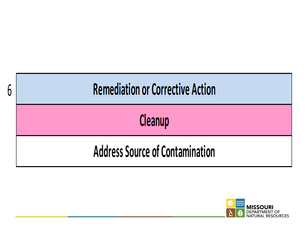

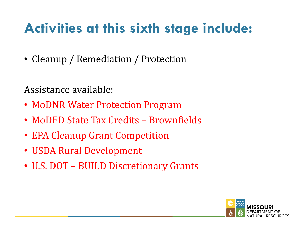### **Activities at this sixth stage include:**

• Cleanup / Remediation / Protection

- MoDNR Water Protection Program
- MoDED State Tax Credits Brownfields
- EPA Cleanup Grant Competition
- USDA Rural Development
- U.S. DOT BUILD Discretionary Grants

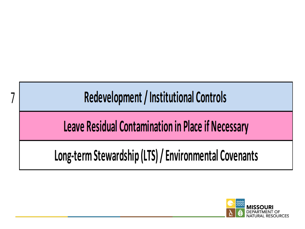Redevelopment / Institutional Controls

Leave Residual Contamination in Place if Necessary

Long-term Stewardship (LTS) / Environmental Covenants

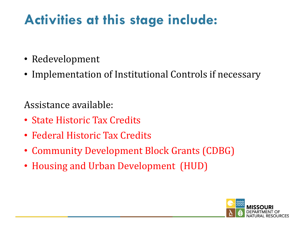### **Activities at this stage include:**

- Redevelopment
- Implementation of Institutional Controls if necessary

- State Historic Tax Credits
- Federal Historic Tax Credits
- Community Development Block Grants (CDBG)
- Housing and Urban Development (HUD)

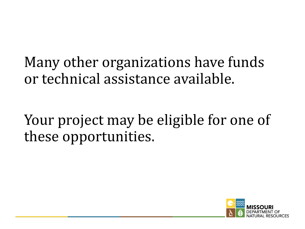Many other organizations have funds or technical assistance available.

### Your project may be eligible for one of these opportunities.

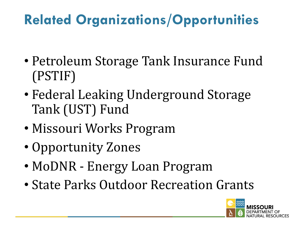## **Related Organizations/Opportunities**

- Petroleum Storage Tank Insurance Fund (PSTIF)
- Federal Leaking Underground Storage Tank (UST) Fund
- Missouri Works Program
- Opportunity Zones
- MoDNR Energy Loan Program
- State Parks Outdoor Recreation Grants

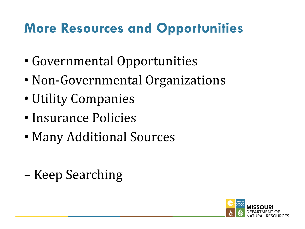#### **More Resources and Opportunities**

- Governmental Opportunities
- Non-Governmental Organizations
- Utility Companies
- Insurance Policies
- Many Additional Sources
- Keep Searching

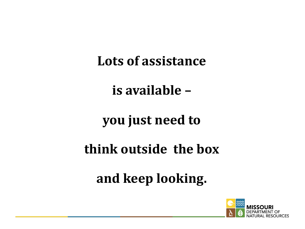Lots of assistance

**is available –** 

#### **you** just need to

#### **think outside the box**

and keep looking.